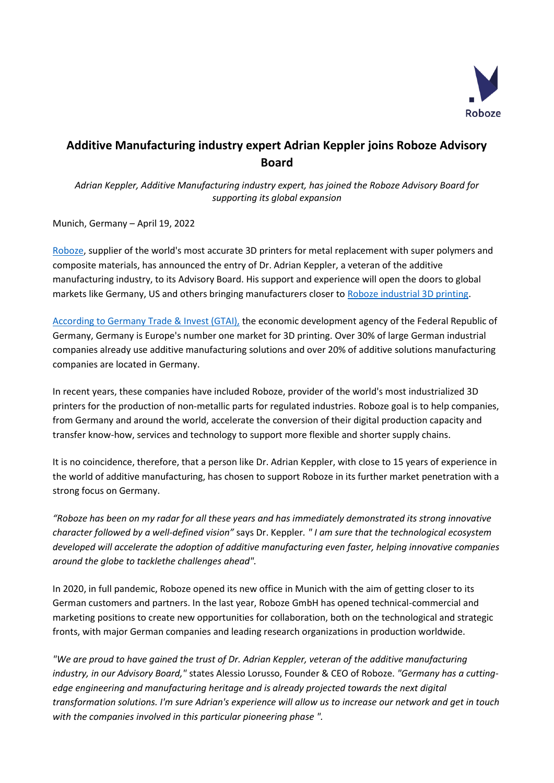

## **Additive Manufacturing industry expert Adrian Keppler joins Roboze Advisory Board**

*Adrian Keppler, Additive Manufacturing industry expert, has joined the Roboze Advisory Board for supporting its global expansion*

Munich, Germany – April 19, 2022

[Roboze,](https://www.roboze.com/en/) supplier of the world's most accurate 3D printers for metal replacement with super polymers and composite materials, has announced the entry of Dr. Adrian Keppler, a veteran of the additive manufacturing industry, to its Advisory Board. His support and experience will open the doors to global markets like Germany, US and others bringing manufacturers closer to [Roboze industrial 3D printing.](https://www.roboze.com/en/3d-printers/)

[According to Germany Trade & Invest \(GTAI\),](https://www.gtai.de/en/invest/service/publications/the-3d-printing-industry-in-germany-741154) the economic development agency of the Federal Republic of Germany, Germany is Europe's number one market for 3D printing. Over 30% of large German industrial companies already use additive manufacturing solutions and over 20% of additive solutions manufacturing companies are located in Germany.

In recent years, these companies have included Roboze, provider of the world's most industrialized 3D printers for the production of non-metallic parts for regulated industries. Roboze goal is to help companies, from Germany and around the world, accelerate the conversion of their digital production capacity and transfer know-how, services and technology to support more flexible and shorter supply chains.

It is no coincidence, therefore, that a person like Dr. Adrian Keppler, with close to 15 years of experience in the world of additive manufacturing, has chosen to support Roboze in its further market penetration with a strong focus on Germany.

*"Roboze has been on my radar for all these years and has immediately demonstrated its strong innovative character followed by a well-defined vision"* says Dr. Keppler*. " I am sure that the technological ecosystem developed will accelerate the adoption of additive manufacturing even faster, helping innovative companies around the globe to tacklethe challenges ahead".*

In 2020, in full pandemic, Roboze opened its new office in Munich with the aim of getting closer to its German customers and partners. In the last year, Roboze GmbH has opened technical-commercial and marketing positions to create new opportunities for collaboration, both on the technological and strategic fronts, with major German companies and leading research organizations in production worldwide.

*"We are proud to have gained the trust of Dr. Adrian Keppler, veteran of the additive manufacturing industry, in our Advisory Board,"* states Alessio Lorusso, Founder & CEO of Roboze. *"Germany has a cuttingedge engineering and manufacturing heritage and is already projected towards the next digital transformation solutions. I'm sure Adrian's experience will allow us to increase our network and get in touch with the companies involved in this particular pioneering phase ".*